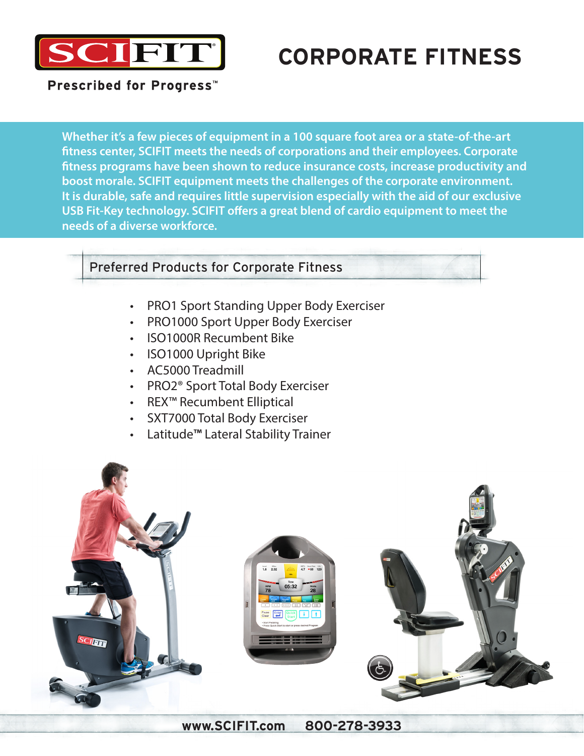

# **CORPORATE FITNESS**

Prescribed for Progress<sup>™</sup>

**Whether it's a few pieces of equipment in a 100 square foot area or a state-of-the-art fitness center, SCIFIT meets the needs of corporations and their employees. Corporate fitness programs have been shown to reduce insurance costs, increase productivity and boost morale. SCIFIT equipment meets the challenges of the corporate environment. It is durable, safe and requires little supervision especially with the aid of our exclusive USB Fit-Key technology. SCIFIT offers a great blend of cardio equipment to meet the needs of a diverse workforce.**

### Preferred Products for Corporate Fitness

- PRO1 Sport Standing Upper Body Exerciser
- PRO1000 Sport Upper Body Exerciser
- ISO1000R Recumbent Bike
- ISO1000 Upright Bike
- AC5000 Treadmill
- PRO2® Sport Total Body Exerciser
- REX™ Recumbent Elliptical
- SXT7000 Total Body Exerciser
- Latitude**™** Lateral Stability Trainer